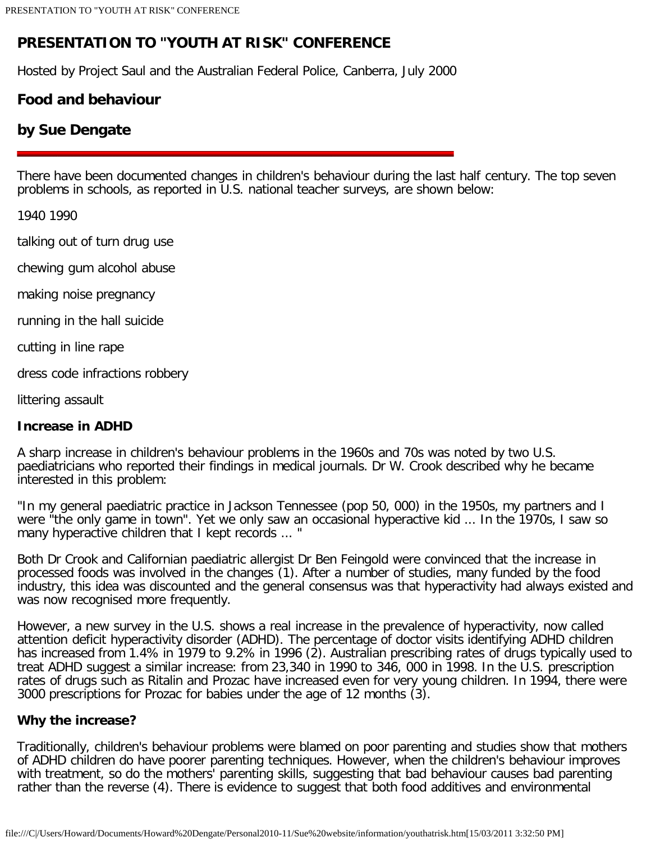# **PRESENTATION TO "YOUTH AT RISK" CONFERENCE**

Hosted by Project Saul and the Australian Federal Police, Canberra, July 2000

## **Food and behaviour**

## **by Sue Dengate**

There have been documented changes in children's behaviour during the last half century. The top seven problems in schools, as reported in U.S. national teacher surveys, are shown below:

1940 1990

talking out of turn drug use

chewing gum alcohol abuse

making noise pregnancy

running in the hall suicide

cutting in line rape

dress code infractions robbery

littering assault

#### **Increase in ADHD**

A sharp increase in children's behaviour problems in the 1960s and 70s was noted by two U.S. paediatricians who reported their findings in medical journals. Dr W. Crook described why he became interested in this problem:

"In my general paediatric practice in Jackson Tennessee (pop 50, 000) in the 1950s, my partners and I were "the only game in town". Yet we only saw an occasional hyperactive kid ... In the 1970s, I saw so many hyperactive children that I kept records ... "

Both Dr Crook and Californian paediatric allergist Dr Ben Feingold were convinced that the increase in processed foods was involved in the changes (1). After a number of studies, many funded by the food industry, this idea was discounted and the general consensus was that hyperactivity had always existed and was now recognised more frequently.

However, a new survey in the U.S. shows a real increase in the prevalence of hyperactivity, now called attention deficit hyperactivity disorder (ADHD). The percentage of doctor visits identifying ADHD children has increased from 1.4% in 1979 to 9.2% in 1996 (2). Australian prescribing rates of drugs typically used to treat ADHD suggest a similar increase: from 23,340 in 1990 to 346, 000 in 1998. In the U.S. prescription rates of drugs such as Ritalin and Prozac have increased even for very young children. In 1994, there were 3000 prescriptions for Prozac for babies under the age of 12 months (3).

#### **Why the increase?**

Traditionally, children's behaviour problems were blamed on poor parenting and studies show that mothers of ADHD children do have poorer parenting techniques. However, when the children's behaviour improves with treatment, so do the mothers' parenting skills, suggesting that bad behaviour causes bad parenting rather than the reverse (4). There is evidence to suggest that both food additives and environmental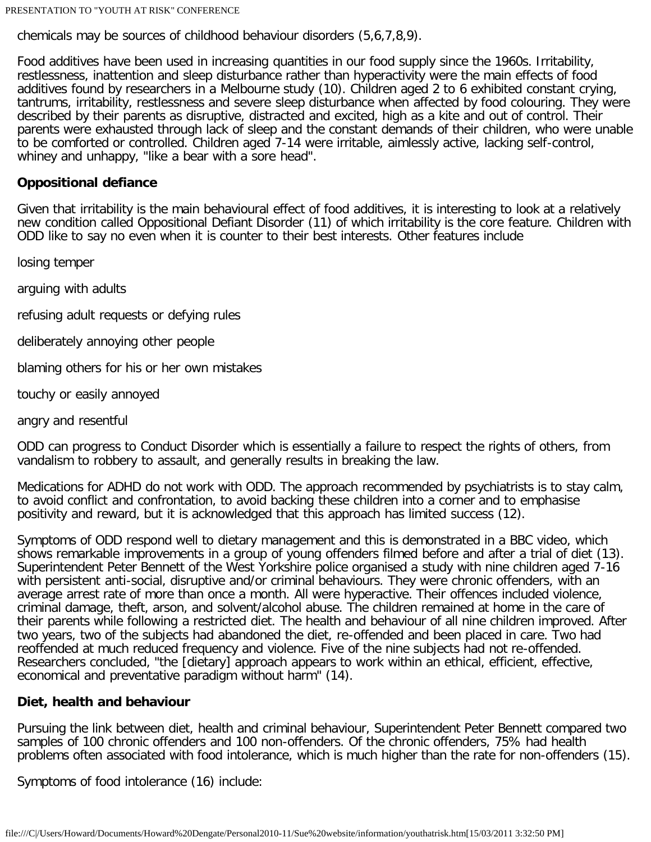PRESENTATION TO "YOUTH AT RISK" CONFERENCE

chemicals may be sources of childhood behaviour disorders (5,6,7,8,9).

Food additives have been used in increasing quantities in our food supply since the 1960s. Irritability, restlessness, inattention and sleep disturbance rather than hyperactivity were the main effects of food additives found by researchers in a Melbourne study (10). Children aged 2 to 6 exhibited constant crying, tantrums, irritability, restlessness and severe sleep disturbance when affected by food colouring. They were described by their parents as disruptive, distracted and excited, high as a kite and out of control. Their parents were exhausted through lack of sleep and the constant demands of their children, who were unable to be comforted or controlled. Children aged 7-14 were irritable, aimlessly active, lacking self-control, whiney and unhappy, "like a bear with a sore head".

## **Oppositional defiance**

Given that irritability is the main behavioural effect of food additives, it is interesting to look at a relatively new condition called Oppositional Defiant Disorder (11) of which irritability is the core feature. Children with ODD like to say no even when it is counter to their best interests. Other features include

losing temper

arguing with adults

refusing adult requests or defying rules

deliberately annoying other people

blaming others for his or her own mistakes

touchy or easily annoyed

angry and resentful

ODD can progress to Conduct Disorder which is essentially a failure to respect the rights of others, from vandalism to robbery to assault, and generally results in breaking the law.

Medications for ADHD do not work with ODD. The approach recommended by psychiatrists is to stay calm, to avoid conflict and confrontation, to avoid backing these children into a corner and to emphasise positivity and reward, but it is acknowledged that this approach has limited success (12).

Symptoms of ODD respond well to dietary management and this is demonstrated in a BBC video, which shows remarkable improvements in a group of young offenders filmed before and after a trial of diet (13). Superintendent Peter Bennett of the West Yorkshire police organised a study with nine children aged 7-16 with persistent anti-social, disruptive and/or criminal behaviours. They were chronic offenders, with an average arrest rate of more than once a month. All were hyperactive. Their offences included violence, criminal damage, theft, arson, and solvent/alcohol abuse. The children remained at home in the care of their parents while following a restricted diet. The health and behaviour of all nine children improved. After two years, two of the subjects had abandoned the diet, re-offended and been placed in care. Two had reoffended at much reduced frequency and violence. Five of the nine subjects had not re-offended. Researchers concluded, "the [dietary] approach appears to work within an ethical, efficient, effective, economical and preventative paradigm without harm" (14).

#### **Diet, health and behaviour**

Pursuing the link between diet, health and criminal behaviour, Superintendent Peter Bennett compared two samples of 100 chronic offenders and 100 non-offenders. Of the chronic offenders, 75% had health problems often associated with food intolerance, which is much higher than the rate for non-offenders (15).

Symptoms of food intolerance (16) include: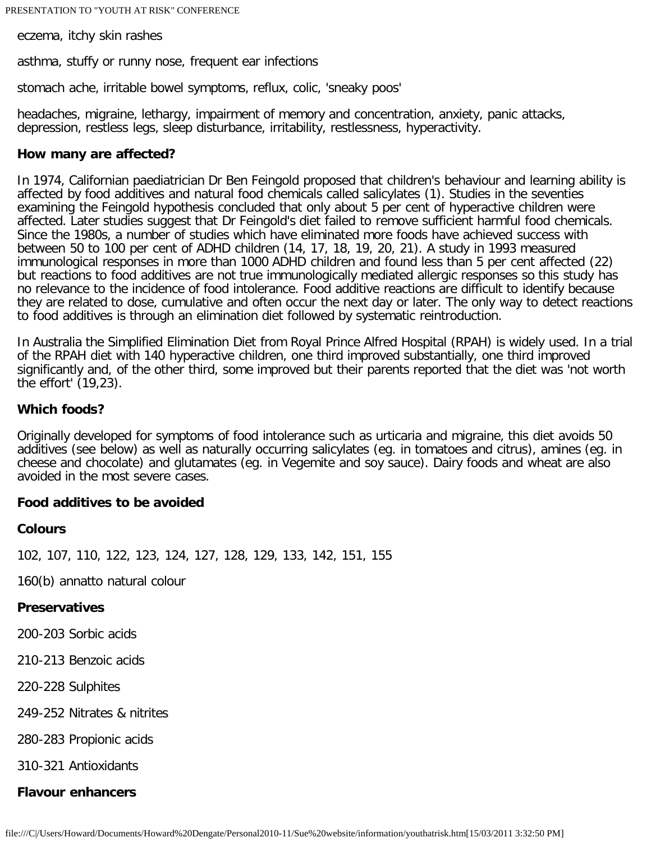eczema, itchy skin rashes

asthma, stuffy or runny nose, frequent ear infections

stomach ache, irritable bowel symptoms, reflux, colic, 'sneaky poos'

headaches, migraine, lethargy, impairment of memory and concentration, anxiety, panic attacks, depression, restless legs, sleep disturbance, irritability, restlessness, hyperactivity.

#### **How many are affected?**

In 1974, Californian paediatrician Dr Ben Feingold proposed that children's behaviour and learning ability is affected by food additives and natural food chemicals called salicylates (1). Studies in the seventies examining the Feingold hypothesis concluded that only about 5 per cent of hyperactive children were affected. Later studies suggest that Dr Feingold's diet failed to remove sufficient harmful food chemicals. Since the 1980s, a number of studies which have eliminated more foods have achieved success with between 50 to 100 per cent of ADHD children (14, 17, 18, 19, 20, 21). A study in 1993 measured immunological responses in more than 1000 ADHD children and found less than 5 per cent affected (22) but reactions to food additives are not true immunologically mediated allergic responses so this study has no relevance to the incidence of food intolerance. Food additive reactions are difficult to identify because they are related to dose, cumulative and often occur the next day or later. The only way to detect reactions to food additives is through an elimination diet followed by systematic reintroduction.

In Australia the Simplified Elimination Diet from Royal Prince Alfred Hospital (RPAH) is widely used. In a trial of the RPAH diet with 140 hyperactive children, one third improved substantially, one third improved significantly and, of the other third, some improved but their parents reported that the diet was 'not worth the effort' (19,23).

#### **Which foods?**

Originally developed for symptoms of food intolerance such as urticaria and migraine, this diet avoids 50 additives (see below) as well as naturally occurring salicylates (eg. in tomatoes and citrus), amines (eg. in cheese and chocolate) and glutamates (eg. in Vegemite and soy sauce). Dairy foods and wheat are also avoided in the most severe cases.

#### **Food additives to be avoided**

#### **Colours**

102, 107, 110, 122, 123, 124, 127, 128, 129, 133, 142, 151, 155

160(b) annatto natural colour

#### **Preservatives**

200-203 Sorbic acids

210-213 Benzoic acids

220-228 Sulphites

249-252 Nitrates & nitrites

280-283 Propionic acids

310-321 Antioxidants

#### **Flavour enhancers**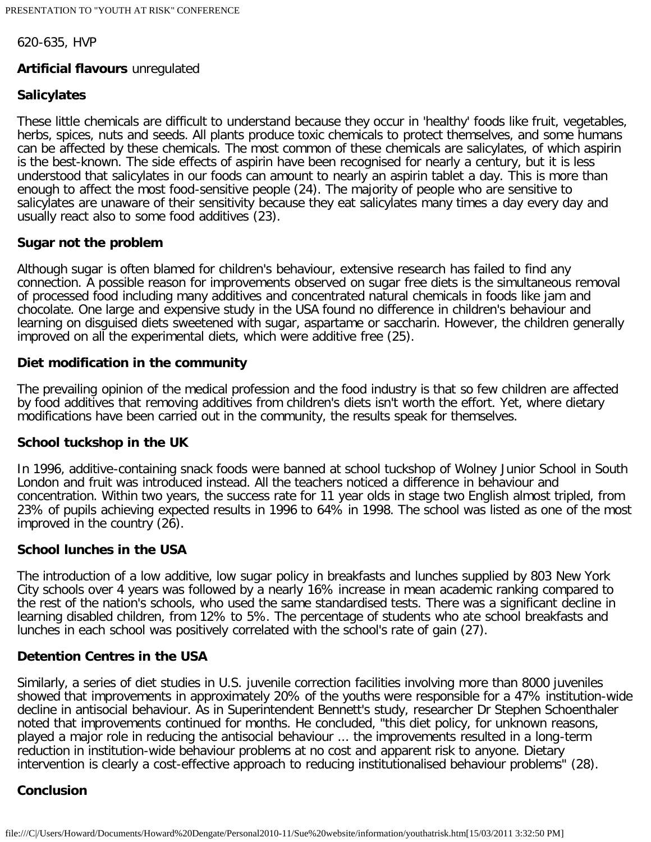620-635, HVP

## **Artificial flavours** unregulated

## **Salicylates**

These little chemicals are difficult to understand because they occur in 'healthy' foods like fruit, vegetables, herbs, spices, nuts and seeds. All plants produce toxic chemicals to protect themselves, and some humans can be affected by these chemicals. The most common of these chemicals are salicylates, of which aspirin is the best-known. The side effects of aspirin have been recognised for nearly a century, but it is less understood that salicylates in our foods can amount to nearly an aspirin tablet a day. This is more than enough to affect the most food-sensitive people (24). The majority of people who are sensitive to salicylates are unaware of their sensitivity because they eat salicylates many times a day every day and usually react also to some food additives (23).

#### **Sugar not the problem**

Although sugar is often blamed for children's behaviour, extensive research has failed to find any connection. A possible reason for improvements observed on sugar free diets is the simultaneous removal of processed food including many additives and concentrated natural chemicals in foods like jam and chocolate. One large and expensive study in the USA found no difference in children's behaviour and learning on disguised diets sweetened with sugar, aspartame or saccharin. However, the children generally improved on all the experimental diets, which were additive free (25).

## **Diet modification in the community**

The prevailing opinion of the medical profession and the food industry is that so few children are affected by food additives that removing additives from children's diets isn't worth the effort. Yet, where dietary modifications have been carried out in the community, the results speak for themselves.

#### **School tuckshop in the UK**

In 1996, additive-containing snack foods were banned at school tuckshop of Wolney Junior School in South London and fruit was introduced instead. All the teachers noticed a difference in behaviour and concentration. Within two years, the success rate for 11 year olds in stage two English almost tripled, from 23% of pupils achieving expected results in 1996 to 64% in 1998. The school was listed as one of the most improved in the country (26).

## **School lunches in the USA**

The introduction of a low additive, low sugar policy in breakfasts and lunches supplied by 803 New York City schools over 4 years was followed by a nearly 16% increase in mean academic ranking compared to the rest of the nation's schools, who used the same standardised tests. There was a significant decline in learning disabled children, from 12% to 5%. The percentage of students who ate school breakfasts and lunches in each school was positively correlated with the school's rate of gain (27).

## **Detention Centres in the USA**

Similarly, a series of diet studies in U.S. juvenile correction facilities involving more than 8000 juveniles showed that improvements in approximately 20% of the youths were responsible for a 47% institution-wide decline in antisocial behaviour. As in Superintendent Bennett's study, researcher Dr Stephen Schoenthaler noted that improvements continued for months. He concluded, "this diet policy, for unknown reasons, played a major role in reducing the antisocial behaviour ... the improvements resulted in a long-term reduction in institution-wide behaviour problems at no cost and apparent risk to anyone. Dietary intervention is clearly a cost-effective approach to reducing institutionalised behaviour problems" (28).

## **Conclusion**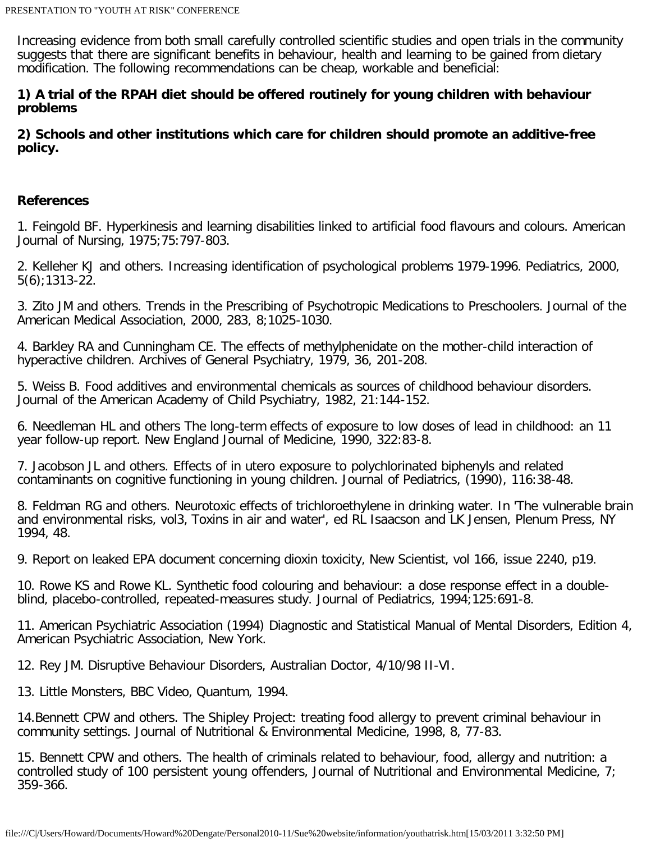Increasing evidence from both small carefully controlled scientific studies and open trials in the community suggests that there are significant benefits in behaviour, health and learning to be gained from dietary modification. The following recommendations can be cheap, workable and beneficial:

## **1) A trial of the RPAH diet should be offered routinely for young children with behaviour problems**

**2) Schools and other institutions which care for children should promote an additive-free policy.**

## **References**

1. Feingold BF. Hyperkinesis and learning disabilities linked to artificial food flavours and colours. American Journal of Nursing, 1975;75:797-803.

2. Kelleher KJ and others. Increasing identification of psychological problems 1979-1996. Pediatrics, 2000, 5(6);1313-22.

3. Zito JM and others. Trends in the Prescribing of Psychotropic Medications to Preschoolers. Journal of the American Medical Association, 2000, 283, 8;1025-1030.

4. Barkley RA and Cunningham CE. The effects of methylphenidate on the mother-child interaction of hyperactive children. Archives of General Psychiatry, 1979, 36, 201-208.

5. Weiss B. Food additives and environmental chemicals as sources of childhood behaviour disorders. Journal of the American Academy of Child Psychiatry, 1982, 21:144-152.

6. Needleman HL and others The long-term effects of exposure to low doses of lead in childhood: an 11 year follow-up report. New England Journal of Medicine, 1990, 322:83-8.

7. Jacobson JL and others. Effects of in utero exposure to polychlorinated biphenyls and related contaminants on cognitive functioning in young children. Journal of Pediatrics, (1990), 116:38-48.

8. Feldman RG and others. Neurotoxic effects of trichloroethylene in drinking water. In 'The vulnerable brain and environmental risks, vol3, Toxins in air and water', ed RL Isaacson and LK Jensen, Plenum Press, NY 1994, 48.

9. Report on leaked EPA document concerning dioxin toxicity, New Scientist, vol 166, issue 2240, p19.

10. Rowe KS and Rowe KL. Synthetic food colouring and behaviour: a dose response effect in a doubleblind, placebo-controlled, repeated-measures study. Journal of Pediatrics, 1994;125:691-8.

11. American Psychiatric Association (1994) Diagnostic and Statistical Manual of Mental Disorders, Edition 4, American Psychiatric Association, New York.

12. Rey JM. Disruptive Behaviour Disorders, Australian Doctor, 4/10/98 II-VI.

13. Little Monsters, BBC Video, Quantum, 1994.

14.Bennett CPW and others. The Shipley Project: treating food allergy to prevent criminal behaviour in community settings. Journal of Nutritional & Environmental Medicine, 1998, 8, 77-83.

15. Bennett CPW and others. The health of criminals related to behaviour, food, allergy and nutrition: a controlled study of 100 persistent young offenders, Journal of Nutritional and Environmental Medicine, 7; 359-366.